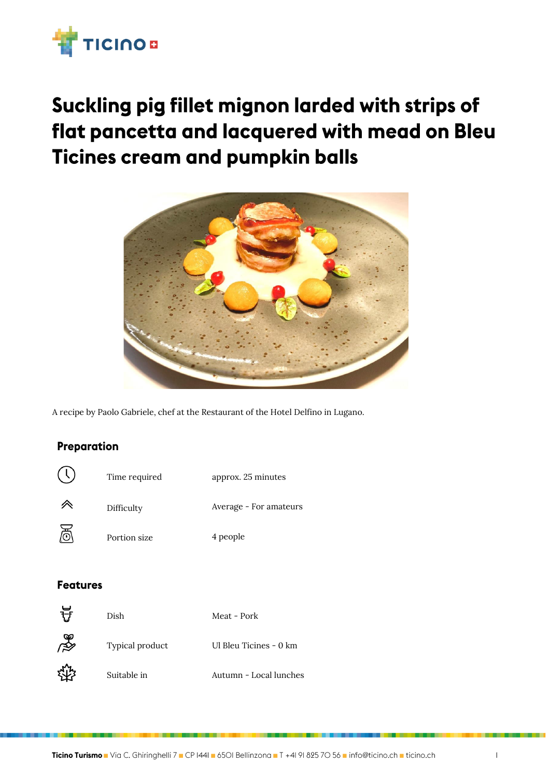

## Suckling pig fillet mignon larded with strips of flat pancetta and lacquered with mead on Bleu **Ticines cream and pumpkin balls**



A recipe by Paolo Gabriele, chef at the Restaurant of the Hotel Delfino in Lugano.

## Preparation

| ( ' | Time required | approx. 25 minutes     |
|-----|---------------|------------------------|
|     | Difficulty    | Average - For amateurs |
| 프   | Portion size  | 4 people               |

## **Features**

 $\ddotsc$ 

| ਜ਼ਿ | Dish            | Meat - Pork            |
|-----|-----------------|------------------------|
| ∦   | Typical product | Ul Bleu Ticines - 0 km |
|     | Suitable in     | Autumn - Local lunches |